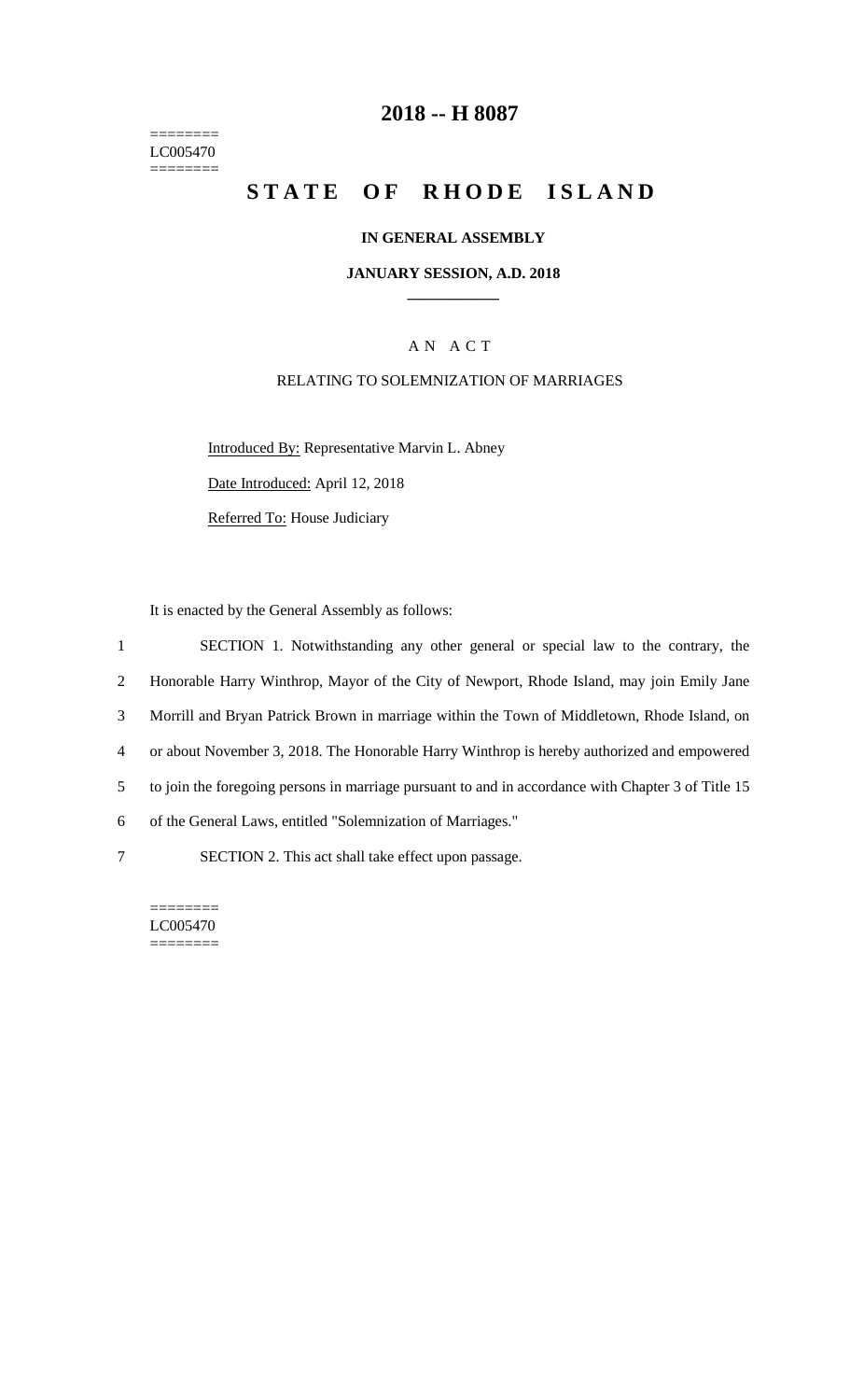======== LC005470  $=$ 

# **2018 -- H 8087**

# STATE OF RHODE ISLAND

#### **IN GENERAL ASSEMBLY**

#### **JANUARY SESSION, A.D. 2018 \_\_\_\_\_\_\_\_\_\_\_\_**

# A N A C T

#### RELATING TO SOLEMNIZATION OF MARRIAGES

Introduced By: Representative Marvin L. Abney Date Introduced: April 12, 2018

Referred To: House Judiciary

It is enacted by the General Assembly as follows:

 SECTION 1. Notwithstanding any other general or special law to the contrary, the Honorable Harry Winthrop, Mayor of the City of Newport, Rhode Island, may join Emily Jane Morrill and Bryan Patrick Brown in marriage within the Town of Middletown, Rhode Island, on or about November 3, 2018. The Honorable Harry Winthrop is hereby authorized and empowered to join the foregoing persons in marriage pursuant to and in accordance with Chapter 3 of Title 15 of the General Laws, entitled "Solemnization of Marriages." SECTION 2. This act shall take effect upon passage.

======== LC005470 ========